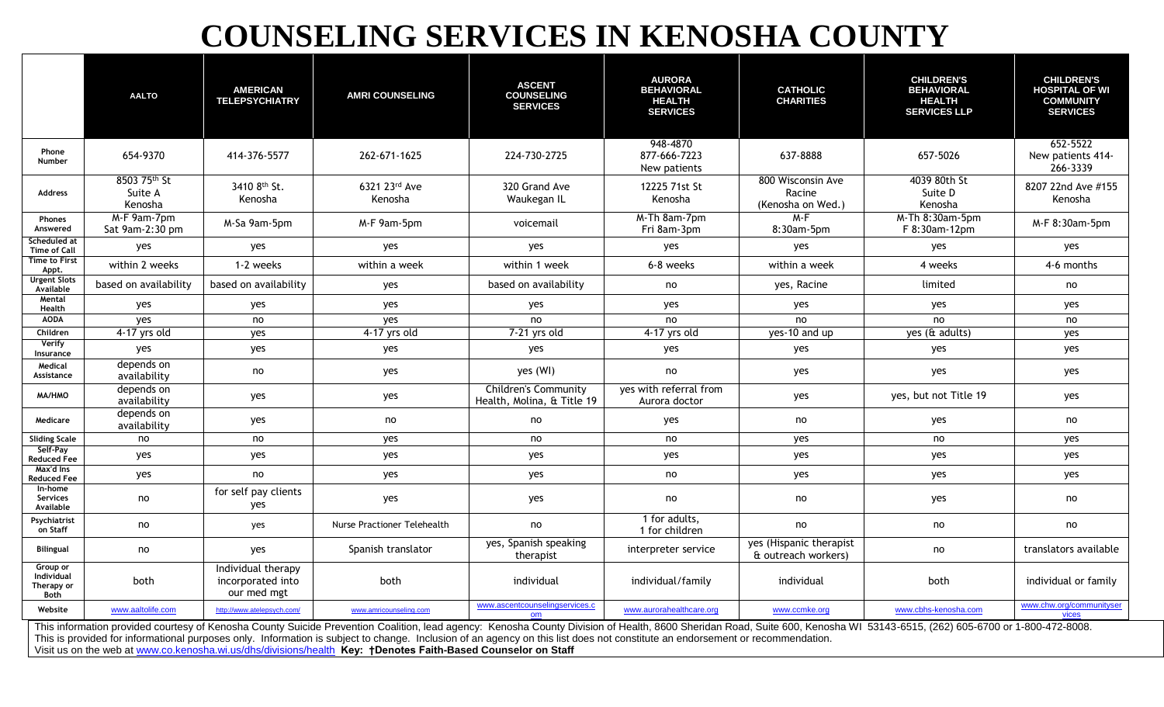## **COUNSELING SERVICES IN KENOSHA COUNTY**

|                                                                                                                                                                                                                                                                                                                                                                                                                                                                                                                              | <b>AALTO</b>                       | <b>AMERICAN</b><br><b>TELEPSYCHIATRY</b>               | <b>AMRI COUNSELING</b>      | <b>ASCENT</b><br><b>COUNSELING</b><br><b>SERVICES</b> | <b>AURORA</b><br><b>BEHAVIORAL</b><br><b>HEALTH</b><br><b>SERVICES</b> | <b>CATHOLIC</b><br><b>CHARITIES</b>              | <b>CHILDREN'S</b><br><b>BEHAVIORAL</b><br><b>HEALTH</b><br><b>SERVICES LLP</b> | <b>CHILDREN'S</b><br><b>HOSPITAL OF WI</b><br><b>COMMUNITY</b><br><b>SERVICES</b> |
|------------------------------------------------------------------------------------------------------------------------------------------------------------------------------------------------------------------------------------------------------------------------------------------------------------------------------------------------------------------------------------------------------------------------------------------------------------------------------------------------------------------------------|------------------------------------|--------------------------------------------------------|-----------------------------|-------------------------------------------------------|------------------------------------------------------------------------|--------------------------------------------------|--------------------------------------------------------------------------------|-----------------------------------------------------------------------------------|
| Phone<br><b>Number</b>                                                                                                                                                                                                                                                                                                                                                                                                                                                                                                       | 654-9370                           | 414-376-5577                                           | 262-671-1625                | 224-730-2725                                          | 948-4870<br>877-666-7223<br>New patients                               | 637-8888                                         | 657-5026                                                                       | 652-5522<br>New patients 414-<br>266-3339                                         |
| <b>Address</b>                                                                                                                                                                                                                                                                                                                                                                                                                                                                                                               | 8503 75th St<br>Suite A<br>Kenosha | 3410 8th St.<br>Kenosha                                | 6321 23rd Ave<br>Kenosha    | 320 Grand Ave<br>Waukegan IL                          | 12225 71st St<br>Kenosha                                               | 800 Wisconsin Ave<br>Racine<br>(Kenosha on Wed.) | 4039 80th St<br>Suite D<br>Kenosha                                             | 8207 22nd Ave #155<br>Kenosha                                                     |
| Phones<br>Answered                                                                                                                                                                                                                                                                                                                                                                                                                                                                                                           | M-F 9am-7pm<br>Sat 9am-2:30 pm     | M-Sa 9am-5pm                                           | M-F 9am-5pm                 | voicemail                                             | M-Th 8am-7pm<br>Fri 8am-3pm                                            | M-F<br>8:30am-5pm                                | M-Th 8:30am-5pm<br>F 8:30am-12pm                                               | M-F 8:30am-5pm                                                                    |
| Scheduled at<br><b>Time of Call</b>                                                                                                                                                                                                                                                                                                                                                                                                                                                                                          | yes                                | yes                                                    | yes                         | yes                                                   | yes                                                                    | yes                                              | yes                                                                            | yes                                                                               |
| <b>Time to First</b><br>Appt.                                                                                                                                                                                                                                                                                                                                                                                                                                                                                                | within 2 weeks                     | 1-2 weeks                                              | within a week               | within 1 week                                         | 6-8 weeks                                                              | within a week                                    | 4 weeks                                                                        | 4-6 months                                                                        |
| <b>Urgent Slots</b><br>Available                                                                                                                                                                                                                                                                                                                                                                                                                                                                                             | based on availability              | based on availability                                  | yes                         | based on availability                                 | no                                                                     | yes, Racine                                      | limited                                                                        | no                                                                                |
| Mental<br>Health                                                                                                                                                                                                                                                                                                                                                                                                                                                                                                             | yes                                | yes                                                    | yes                         | yes                                                   | yes                                                                    | yes                                              | yes                                                                            | yes                                                                               |
| <b>AODA</b>                                                                                                                                                                                                                                                                                                                                                                                                                                                                                                                  | yes                                | no                                                     | yes                         | no                                                    | no                                                                     | no                                               | no                                                                             | no                                                                                |
| Children                                                                                                                                                                                                                                                                                                                                                                                                                                                                                                                     | 4-17 yrs old                       | yes                                                    | 4-17 yrs old                | 7-21 yrs old                                          | 4-17 yrs old                                                           | yes-10 and up                                    | yes (& adults)                                                                 | yes                                                                               |
| Verify<br>Insurance                                                                                                                                                                                                                                                                                                                                                                                                                                                                                                          | yes                                | yes                                                    | yes                         | yes                                                   | yes                                                                    | yes                                              | yes                                                                            | yes                                                                               |
| Medical<br>Assistance                                                                                                                                                                                                                                                                                                                                                                                                                                                                                                        | depends on<br>availability         | no                                                     | yes                         | yes (WI)                                              | no                                                                     | yes                                              | yes                                                                            | yes                                                                               |
| MA/HMO                                                                                                                                                                                                                                                                                                                                                                                                                                                                                                                       | depends on<br>availability         | yes                                                    | yes                         | Children's Community<br>Health, Molina, & Title 19    | yes with referral from<br>Aurora doctor                                | yes                                              | yes, but not Title 19                                                          | yes                                                                               |
| Medicare                                                                                                                                                                                                                                                                                                                                                                                                                                                                                                                     | depends on<br>availability         | yes                                                    | no                          | no                                                    | yes                                                                    | no                                               | yes                                                                            | no                                                                                |
| <b>Sliding Scale</b>                                                                                                                                                                                                                                                                                                                                                                                                                                                                                                         | no                                 | no                                                     | yes                         | no                                                    | no                                                                     | yes                                              | no                                                                             | yes                                                                               |
| Self-Pay<br><b>Reduced Fee</b>                                                                                                                                                                                                                                                                                                                                                                                                                                                                                               | yes                                | yes                                                    | yes                         | yes                                                   | yes                                                                    | yes                                              | yes                                                                            | yes                                                                               |
| Max'd Ins<br><b>Reduced Fee</b>                                                                                                                                                                                                                                                                                                                                                                                                                                                                                              | yes                                | no                                                     | yes                         | yes                                                   | no                                                                     | yes                                              | yes                                                                            | yes                                                                               |
| In-home<br>Services<br>Available                                                                                                                                                                                                                                                                                                                                                                                                                                                                                             | no                                 | for self pay clients<br>yes                            | yes                         | yes                                                   | no                                                                     | no                                               | yes                                                                            | no                                                                                |
| Psychiatrist<br>on Staff                                                                                                                                                                                                                                                                                                                                                                                                                                                                                                     | no                                 | yes                                                    | Nurse Practioner Telehealth | no                                                    | 1 for adults,<br>1 for children                                        | no                                               | no                                                                             | no                                                                                |
| <b>Bilingual</b>                                                                                                                                                                                                                                                                                                                                                                                                                                                                                                             | no                                 | yes                                                    | Spanish translator          | yes, Spanish speaking<br>therapist                    | interpreter service                                                    | yes (Hispanic therapist<br>& outreach workers)   | no                                                                             | translators available                                                             |
| Group or<br>Individual<br>Therapy or<br>Both                                                                                                                                                                                                                                                                                                                                                                                                                                                                                 | both                               | Individual therapy<br>incorporated into<br>our med mgt | both                        | individual                                            | individual/family                                                      | individual                                       | both                                                                           | individual or family                                                              |
| Website                                                                                                                                                                                                                                                                                                                                                                                                                                                                                                                      | www.aaltolife.com                  | http://www.atelepsych.com/                             | www.amricounseling.com      | www.ascentcounselingservices.c                        | www.aurorahealthcare.org                                               | www.ccmke.org                                    | www.cbhs-kenosha.com                                                           | www.chw.org/communityser                                                          |
| This information provided courtesy of Kenosha County Suicide Prevention Coalition, lead agency: Kenosha County Division of Health, 8600 Sheridan Road, Suite 600, Kenosha WI 53143-6515, (262) 605-6700 or 1-800-472-8008.<br>This is provided for informational purposes only. Information is subject to change. Inclusion of an agency on this list does not constitute an endorsement or recommendation.<br>Visit us on the web at www.co.kenosha.wi.us/dhs/divisions/health Key: +Denotes Faith-Based Counselor on Staff |                                    |                                                        |                             |                                                       |                                                                        |                                                  |                                                                                |                                                                                   |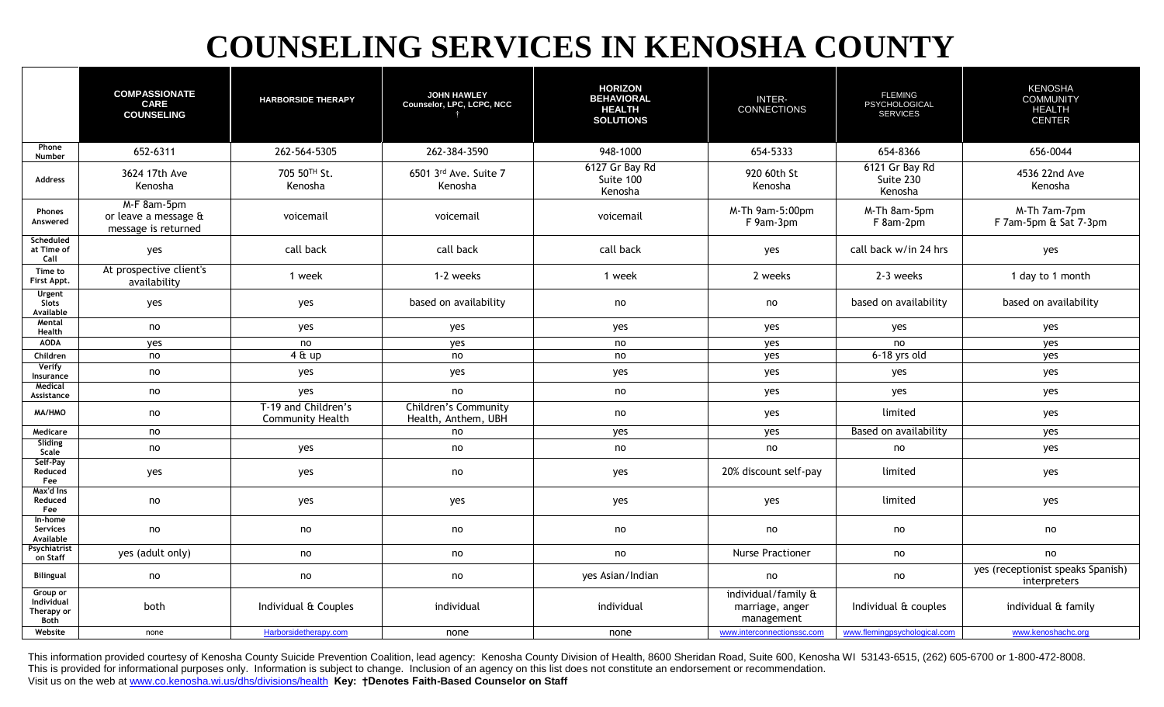## **COUNSELING SERVICES IN KENOSHA COUNTY**

|                                                     | <b>COMPASSIONATE</b><br><b>CARE</b><br><b>COUNSELING</b>   | <b>HARBORSIDE THERAPY</b>                      | <b>JOHN HAWLEY</b><br>Counselor, LPC, LCPC, NCC    | <b>HORIZON</b><br><b>BEHAVIORAL</b><br><b>HEALTH</b><br><b>SOLUTIONS</b> | <b>INTER-</b><br><b>CONNECTIONS</b>                  | <b>FLEMING</b><br>PSYCHOLOGICAL<br><b>SERVICES</b> | <b>KENOSHA</b><br><b>COMMUNITY</b><br><b>HEALTH</b><br><b>CENTER</b> |
|-----------------------------------------------------|------------------------------------------------------------|------------------------------------------------|----------------------------------------------------|--------------------------------------------------------------------------|------------------------------------------------------|----------------------------------------------------|----------------------------------------------------------------------|
| Phone<br>Number                                     | 652-6311                                                   | 262-564-5305                                   | 262-384-3590                                       | 948-1000                                                                 | 654-5333                                             | 654-8366                                           | 656-0044                                                             |
| Address                                             | 3624 17th Ave<br>Kenosha                                   | 705 50TH St.<br>Kenosha                        | 6501 3rd Ave. Suite 7<br>Kenosha                   | 6127 Gr Bay Rd<br>Suite 100<br>Kenosha                                   | 920 60th St<br>Kenosha                               | 6121 Gr Bay Rd<br>Suite 230<br>Kenosha             | 4536 22nd Ave<br>Kenosha                                             |
| Phones<br>Answered                                  | M-F 8am-5pm<br>or leave a message &<br>message is returned | voicemail                                      | voicemail                                          | voicemail                                                                | M-Th 9am-5:00pm<br>F 9am-3pm                         | M-Th 8am-5pm<br>F 8am-2pm                          | M-Th 7am-7pm<br>F 7am-5pm & Sat 7-3pm                                |
| Scheduled<br>at Time of<br>Call                     | yes                                                        | call back                                      | call back                                          | call back                                                                | yes                                                  | call back w/in 24 hrs                              | yes                                                                  |
| Time to<br>First Appt.                              | At prospective client's<br>availability                    | 1 week                                         | 1-2 weeks                                          | 1 week                                                                   | 2 weeks                                              | 2-3 weeks                                          | 1 day to 1 month                                                     |
| <b>Urgent</b><br>Slots<br>Available                 | yes                                                        | yes                                            | based on availability                              | no                                                                       | no                                                   | based on availability                              | based on availability                                                |
| Mental<br>Health                                    | no                                                         | yes                                            | yes                                                | yes                                                                      | yes                                                  | yes                                                | yes                                                                  |
| <b>AODA</b>                                         | yes                                                        | no                                             | ves                                                | no                                                                       | yes                                                  | no                                                 | yes                                                                  |
| Children                                            | no                                                         | $4 \& up$                                      | no                                                 | no                                                                       | yes                                                  | $6-18$ yrs old                                     | yes                                                                  |
| Verify<br>Insurance                                 | no                                                         | yes                                            | yes                                                | yes                                                                      | yes                                                  | yes                                                | yes                                                                  |
| Medical<br>Assistance                               | no                                                         | yes                                            | no                                                 | no                                                                       | yes                                                  | yes                                                | yes                                                                  |
| MA/HMO                                              | no                                                         | T-19 and Children's<br><b>Community Health</b> | <b>Children's Community</b><br>Health, Anthem, UBH | no                                                                       | yes                                                  | limited                                            | yes                                                                  |
| Medicare                                            | no                                                         |                                                | no                                                 | yes                                                                      | yes                                                  | Based on availability                              | yes                                                                  |
| Sliding<br>Scale                                    | no                                                         | yes                                            | no                                                 | no                                                                       | no                                                   | no                                                 | yes                                                                  |
| Self-Pay<br>Reduced<br>Fee                          | yes                                                        | yes                                            | no                                                 | yes                                                                      | 20% discount self-pay                                | limited                                            | yes                                                                  |
| Max'd Ins<br>Reduced<br>Fee                         | no                                                         | yes                                            | yes                                                | yes                                                                      | yes                                                  | limited                                            | yes                                                                  |
| In-home<br>Services<br>Available                    | no                                                         | no                                             | no                                                 | no                                                                       | no                                                   | no                                                 | no                                                                   |
| Psychiatrist<br>on Staff                            | yes (adult only)                                           | no                                             | no                                                 | no                                                                       | <b>Nurse Practioner</b>                              | no                                                 | no                                                                   |
| <b>Bilingual</b>                                    | no                                                         | no                                             | no                                                 | yes Asian/Indian                                                         | no                                                   | no                                                 | yes (receptionist speaks Spanish)<br>interpreters                    |
| Group or<br>Individual<br>Therapy or<br><b>Both</b> | both                                                       | Individual & Couples                           | individual                                         | individual                                                               | individual/family &<br>marriage, anger<br>management | Individual & couples                               | individual & family                                                  |
| Website                                             | none                                                       | Harborsidetherapy.com                          | none                                               | none                                                                     | www.interconnectionssc.com                           | www.flemingpsychological.com                       | www.kenoshachc.org                                                   |

This information provided courtesy of Kenosha County Suicide Prevention Coalition, lead agency: Kenosha County Division of Health, 8600 Sheridan Road, Suite 600, Kenosha WI 53143-6515, (262) 605-6700 or 1-800-472-8008. This is provided for informational purposes only. Information is subject to change. Inclusion of an agency on this list does not constitute an endorsement or recommendation. Visit us on the web at [www.co.kenosha.wi.us/dhs/divisions/health](http://www.co.kenosha.wi.us/dhs/divisions/health) **Key: †Denotes Faith-Based Counselor on Staff**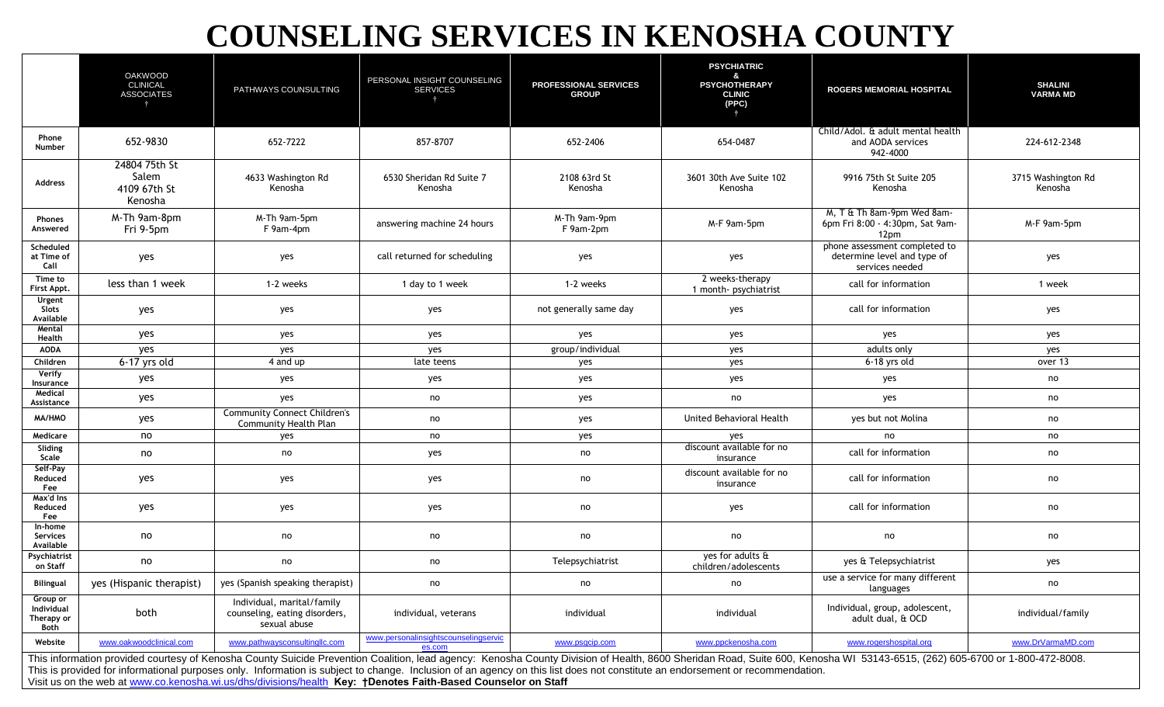## **COUNSELING SERVICES IN KENOSHA COUNTY**

|                                                                                                                                                                                                                                                                                                                                                                                                             | <b>OAKWOOD</b><br><b>CLINICAL</b><br><b>ASSOCIATES</b> | PATHWAYS COUNSULTING                                                        | PERSONAL INSIGHT COUNSELING<br><b>SERVICES</b> | <b>PROFESSIONAL SERVICES</b><br><b>GROUP</b> | <b>PSYCHIATRIC</b><br>$\mathbf{R}$<br><b>PSYCHOTHERAPY</b><br><b>CLINIC</b><br>(PPC) | <b>ROGERS MEMORIAL HOSPITAL</b>                                                 | <b>SHALINI</b><br><b>VARMA MD</b> |  |
|-------------------------------------------------------------------------------------------------------------------------------------------------------------------------------------------------------------------------------------------------------------------------------------------------------------------------------------------------------------------------------------------------------------|--------------------------------------------------------|-----------------------------------------------------------------------------|------------------------------------------------|----------------------------------------------|--------------------------------------------------------------------------------------|---------------------------------------------------------------------------------|-----------------------------------|--|
| Phone<br>Number                                                                                                                                                                                                                                                                                                                                                                                             | 652-9830                                               | 652-7222                                                                    | 857-8707                                       | 652-2406                                     | 654-0487                                                                             | Child/Adol. & adult mental health<br>and AODA services<br>942-4000              | 224-612-2348                      |  |
| Address                                                                                                                                                                                                                                                                                                                                                                                                     | 24804 75th St<br>Salem<br>4109 67th St<br>Kenosha      | 4633 Washington Rd<br>Kenosha                                               | 6530 Sheridan Rd Suite 7<br>Kenosha            | 2108 63rd St<br>Kenosha                      | 3601 30th Ave Suite 102<br>Kenosha                                                   | 9916 75th St Suite 205<br>Kenosha                                               | 3715 Washington Rd<br>Kenosha     |  |
| <b>Phones</b><br>Answered                                                                                                                                                                                                                                                                                                                                                                                   | M-Th 9am-8pm<br>Fri 9-5pm                              | M-Th 9am-5pm<br>F 9am-4pm                                                   | answering machine 24 hours                     | M-Th 9am-9pm<br>F 9am-2pm                    | M-F 9am-5pm                                                                          | M, T & Th 8am-9pm Wed 8am-<br>6pm Fri 8:00 - 4:30pm, Sat 9am-<br>12pm           | M-F 9am-5pm                       |  |
| Scheduled<br>at Time of<br>Call                                                                                                                                                                                                                                                                                                                                                                             | yes                                                    | yes                                                                         | call returned for scheduling                   | yes                                          | yes                                                                                  | phone assessment completed to<br>determine level and type of<br>services needed | yes                               |  |
| Time to<br>First Appt.                                                                                                                                                                                                                                                                                                                                                                                      | less than 1 week                                       | 1-2 weeks                                                                   | 1 day to 1 week                                | 1-2 weeks                                    | 2 weeks-therapy<br>1 month- psychiatrist                                             | call for information                                                            | 1 week                            |  |
| Urgent<br>Slots<br>Available                                                                                                                                                                                                                                                                                                                                                                                | yes                                                    | yes                                                                         | yes                                            | not generally same day                       | yes                                                                                  | call for information                                                            | yes                               |  |
| Mental<br>Health                                                                                                                                                                                                                                                                                                                                                                                            | yes                                                    | yes                                                                         | yes                                            | yes                                          | yes                                                                                  | yes                                                                             | yes                               |  |
| <b>AODA</b>                                                                                                                                                                                                                                                                                                                                                                                                 | yes                                                    | yes                                                                         | yes                                            | group/individual                             | yes                                                                                  | adults only                                                                     | yes                               |  |
| Children                                                                                                                                                                                                                                                                                                                                                                                                    | 6-17 yrs old                                           | 4 and up                                                                    | late teens                                     | yes                                          | yes                                                                                  | 6-18 yrs old                                                                    | over 13                           |  |
| Verify<br>Insurance                                                                                                                                                                                                                                                                                                                                                                                         | yes                                                    | yes                                                                         | yes                                            | yes                                          | yes                                                                                  | yes                                                                             | no                                |  |
| Medical<br>Assistance                                                                                                                                                                                                                                                                                                                                                                                       | yes                                                    | yes                                                                         | no                                             | yes                                          | no                                                                                   | yes                                                                             | no                                |  |
| MA/HMO                                                                                                                                                                                                                                                                                                                                                                                                      | yes                                                    | <b>Community Connect Children's</b><br><b>Community Health Plan</b>         | no                                             | yes                                          | United Behavioral Health                                                             | yes but not Molina                                                              | no                                |  |
| Medicare                                                                                                                                                                                                                                                                                                                                                                                                    | no                                                     | yes                                                                         | no                                             | yes                                          | yes                                                                                  | no                                                                              | no                                |  |
| Sliding<br>Scale                                                                                                                                                                                                                                                                                                                                                                                            | no                                                     | no                                                                          | yes                                            | no                                           | discount available for no<br>insurance                                               | call for information                                                            | no                                |  |
| Self-Pay<br>Reduced<br>Fee                                                                                                                                                                                                                                                                                                                                                                                  | yes                                                    | yes                                                                         | yes                                            | no                                           | discount available for no<br>insurance                                               | call for information                                                            | no                                |  |
| Max'd Ins<br>Reduced<br>Fee                                                                                                                                                                                                                                                                                                                                                                                 | yes                                                    | yes                                                                         | yes                                            | no                                           | yes                                                                                  | call for information                                                            | no                                |  |
| In-home<br>Services<br>Available                                                                                                                                                                                                                                                                                                                                                                            | no                                                     | no                                                                          | no                                             | no                                           | no                                                                                   | no                                                                              | no                                |  |
| Psychiatrist<br>on Staff                                                                                                                                                                                                                                                                                                                                                                                    | no                                                     | no                                                                          | no                                             | Telepsychiatrist                             | yes for adults &<br>children/adolescents                                             | yes & Telepsychiatrist                                                          | yes                               |  |
| <b>Bilingual</b>                                                                                                                                                                                                                                                                                                                                                                                            | yes (Hispanic therapist)                               | yes (Spanish speaking therapist)                                            | no                                             | no                                           | no                                                                                   | use a service for many different<br>languages                                   | no                                |  |
| Group or<br>Individual<br>Therapy or<br>Both                                                                                                                                                                                                                                                                                                                                                                | both                                                   | Individual, marital/family<br>counseling, eating disorders,<br>sexual abuse | individual, veterans                           | individual                                   | individual                                                                           | Individual, group, adolescent,<br>adult dual, & OCD                             | individual/family                 |  |
| Website                                                                                                                                                                                                                                                                                                                                                                                                     | www.oakwoodclinical.com                                | www.pathwaysconsultingllc.com                                               | www.personalinsightscounselingservic<br>es.com | www.psgcip.com                               | www.ppckenosha.com                                                                   | www.rogershospital.org                                                          | www.DrVarmaMD.com                 |  |
| This information provided courtesy of Kenosha County Suicide Prevention Coalition, lead agency: Kenosha County Division of Health, 8600 Sheridan Road, Suite 600, Kenosha WI 53143-6515, (262) 605-6700 or 1-800-472-8008.<br>This is provided for informational purposes only. Information is subject to change. Inclusion of an agency on this list does not constitute an endorsement or recommendation. |                                                        |                                                                             |                                                |                                              |                                                                                      |                                                                                 |                                   |  |

Visit us on the web at [www.co.kenosha.wi.us/dhs/divisions/health](http://www.co.kenosha.wi.us/dhs/divisions/health) **Key: †Denotes Faith-Based Counselor on Staff**